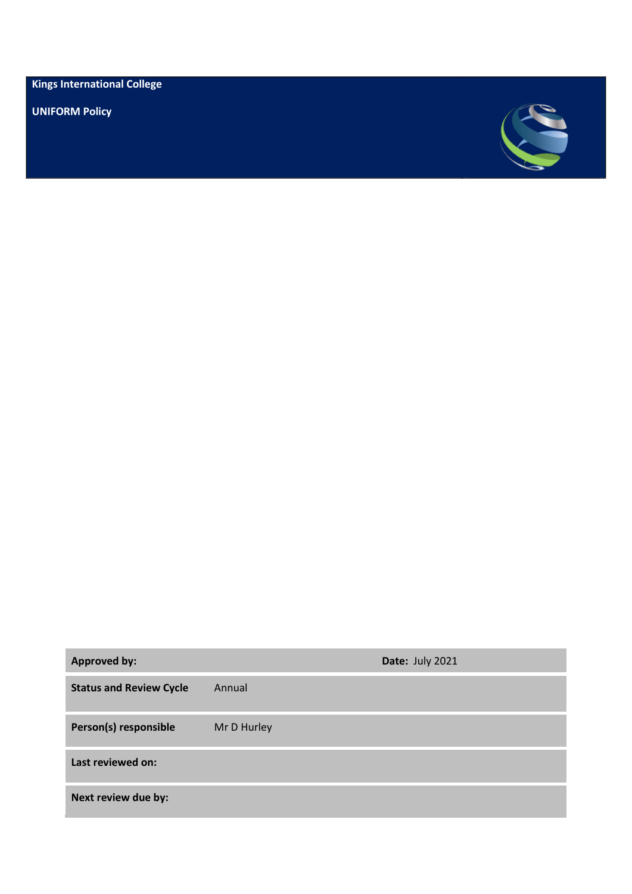**Kings International College**

**UNIFORM Policy** 



| <b>Approved by:</b>            |             | Date: July 2021 |
|--------------------------------|-------------|-----------------|
| <b>Status and Review Cycle</b> | Annual      |                 |
| Person(s) responsible          | Mr D Hurley |                 |
| Last reviewed on:              |             |                 |
| Next review due by:            |             |                 |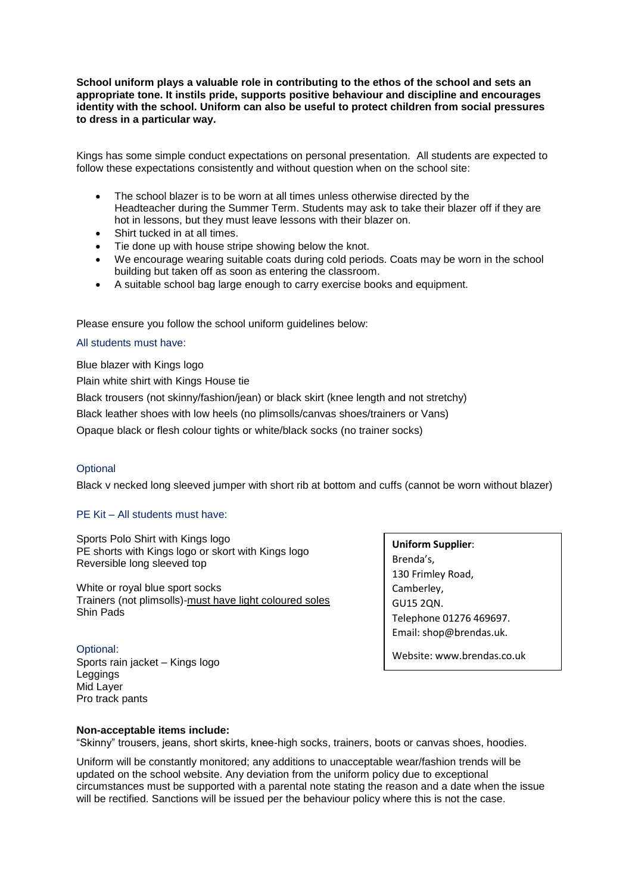**School uniform plays a valuable role in contributing to the ethos of the school and sets an appropriate tone. It instils pride, supports positive behaviour and discipline and encourages identity with the school. Uniform can also be useful to protect children from social pressures to dress in a particular way.**

Kings has some simple conduct expectations on personal presentation. All students are expected to follow these expectations consistently and without question when on the school site:

- The school blazer is to be worn at all times unless otherwise directed by the Headteacher during the Summer Term. Students may ask to take their blazer off if they are hot in lessons, but they must leave lessons with their blazer on.
- Shirt tucked in at all times.
- Tie done up with house stripe showing below the knot.
- We encourage wearing suitable coats during cold periods. Coats may be worn in the school building but taken off as soon as entering the classroom.
- A suitable school bag large enough to carry exercise books and equipment.

Please ensure you follow the school uniform guidelines below:

### All students must have:

Blue blazer with Kings logo

Plain white shirt with Kings House tie

Black trousers (not skinny/fashion/jean) or black skirt (knee length and not stretchy)

Black leather shoes with low heels (no plimsolls/canvas shoes/trainers or Vans)

Opaque black or flesh colour tights or white/black socks (no trainer socks)

# **Optional**

Black v necked long sleeved jumper with short rib at bottom and cuffs (cannot be worn without blazer)

# PE Kit – All students must have:

Sports Polo Shirt with Kings logo PE shorts with Kings logo or skort with Kings logo Reversible long sleeved top

White or royal blue sport socks Trainers (not plimsolls)-must have light coloured soles Shin Pads

Optional: Sports rain jacket – Kings logo **Leggings** Mid Layer Pro track pants

**Uniform Supplier**: Brenda's, 130 Frimley Road, Camberley, GU15 2QN. Telephone 01276 469697. Email: shop@brendas.uk.

Website: www.brendas.co.uk

### **Non-acceptable items include:**

"Skinny" trousers, jeans, short skirts, knee-high socks, trainers, boots or canvas shoes, hoodies.

Uniform will be constantly monitored; any additions to unacceptable wear/fashion trends will be updated on the school website. Any deviation from the uniform policy due to exceptional circumstances must be supported with a parental note stating the reason and a date when the issue will be rectified. Sanctions will be issued per the behaviour policy where this is not the case.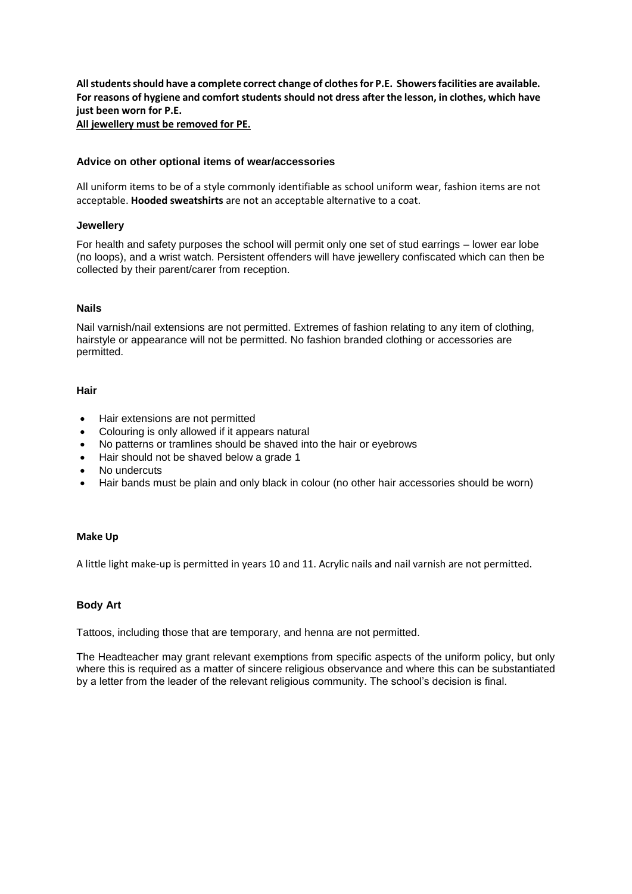**All students should have a complete correct change of clothes for P.E. Showers facilities are available. For reasons of hygiene and comfort students should not dress after the lesson, in clothes, which have just been worn for P.E.** 

**All jewellery must be removed for PE.**

## **Advice on other optional items of wear/accessories**

All uniform items to be of a style commonly identifiable as school uniform wear, fashion items are not acceptable. **Hooded sweatshirts** are not an acceptable alternative to a coat.

### **Jewellery**

For health and safety purposes the school will permit only one set of stud earrings – lower ear lobe (no loops), and a wrist watch. Persistent offenders will have jewellery confiscated which can then be collected by their parent/carer from reception.

## **Nails**

Nail varnish/nail extensions are not permitted. Extremes of fashion relating to any item of clothing, hairstyle or appearance will not be permitted. No fashion branded clothing or accessories are permitted.

### **Hair**

- Hair extensions are not permitted
- Colouring is only allowed if it appears natural
- No patterns or tramlines should be shaved into the hair or eyebrows
- Hair should not be shaved below a grade 1
- No undercuts
- Hair bands must be plain and only black in colour (no other hair accessories should be worn)

### **Make Up**

A little light make-up is permitted in years 10 and 11. Acrylic nails and nail varnish are not permitted.

# **Body Art**

Tattoos, including those that are temporary, and henna are not permitted.

The Headteacher may grant relevant exemptions from specific aspects of the uniform policy, but only where this is required as a matter of sincere religious observance and where this can be substantiated by a letter from the leader of the relevant religious community. The school's decision is final.